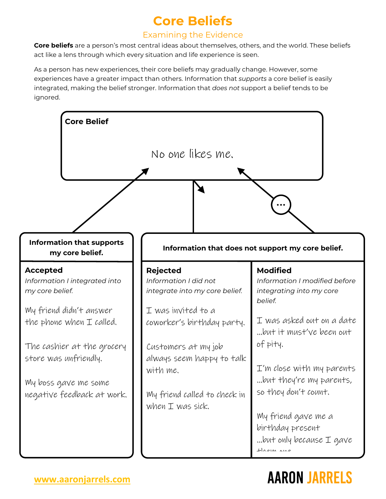### **Core Beliefs**

#### Examining the Evidence

**Core beliefs** are a person's most central ideas about themselves, others, and the world. These beliefs act like a lens through which every situation and life experience is seen.

As a person has new experiences, their core beliefs may gradually change. However, some experiences have a greater impact than others. Information that *supports* a core belief is easily integrated, making the belief stronger. Information that *does not* support a belief tends to be ignored.



# **AARON JARRELS**